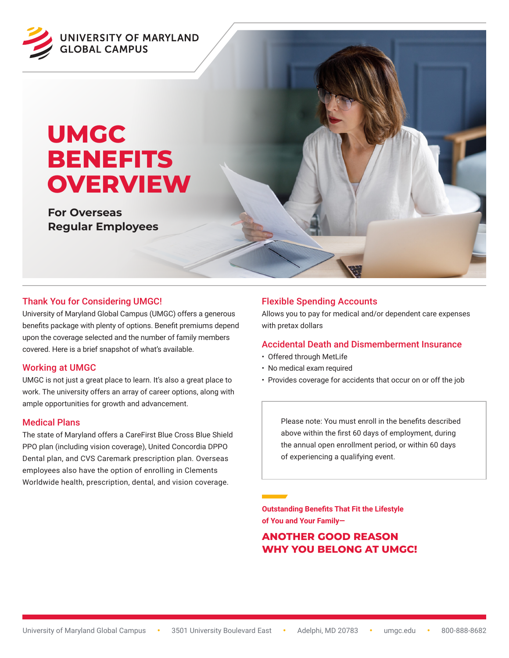

# **UMGC BENEFITS OVERVIEW**

**For Overseas Regular Employees**

# Thank You for Considering UMGC!

University of Maryland Global Campus (UMGC) offers a generous benefits package with plenty of options. Benefit premiums depend upon the coverage selected and the number of family members covered. Here is a brief snapshot of what's available.

#### Working at UMGC

UMGC is not just a great place to learn. It's also a great place to work. The university offers an array of career options, along with ample opportunities for growth and advancement.

#### Medical Plans

The state of Maryland offers a CareFirst Blue Cross Blue Shield PPO plan (including vision coverage), United Concordia DPPO Dental plan, and CVS Caremark prescription plan. Overseas employees also have the option of enrolling in Clements Worldwide health, prescription, dental, and vision coverage.

# Flexible Spending Accounts

Allows you to pay for medical and/or dependent care expenses with pretax dollars

#### Accidental Death and Dismemberment Insurance

- Offered through MetLife
- No medical exam required
- Provides coverage for accidents that occur on or off the job

Please note: You must enroll in the benefits described above within the first 60 days of employment, during the annual open enrollment period, or within 60 days of experiencing a qualifying event.

**Outstanding Benefits That Fit the Lifestyle of You and Your Family—**

**ANOTHER GOOD REASON WHY YOU BELONG AT UMGC!**